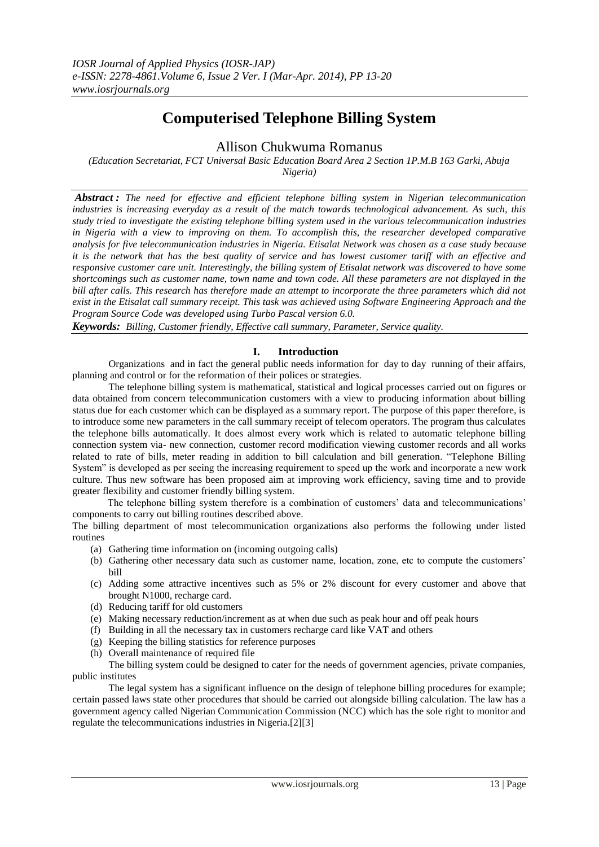# **Computerised Telephone Billing System**

# Allison Chukwuma Romanus

*(Education Secretariat, FCT Universal Basic Education Board Area 2 Section 1P.M.B 163 Garki, Abuja Nigeria)*

*Abstract : The need for effective and efficient telephone billing system in Nigerian telecommunication industries is increasing everyday as a result of the match towards technological advancement. As such, this study tried to investigate the existing telephone billing system used in the various telecommunication industries in Nigeria with a view to improving on them. To accomplish this, the researcher developed comparative analysis for five telecommunication industries in Nigeria. Etisalat Network was chosen as a case study because it is the network that has the best quality of service and has lowest customer tariff with an effective and responsive customer care unit. Interestingly, the billing system of Etisalat network was discovered to have some shortcomings such as customer name, town name and town code. All these parameters are not displayed in the bill after calls. This research has therefore made an attempt to incorporate the three parameters which did not exist in the Etisalat call summary receipt. This task was achieved using Software Engineering Approach and the Program Source Code was developed using Turbo Pascal version 6.0.* 

*Keywords: Billing, Customer friendly, Effective call summary, Parameter, Service quality.*

# **I. Introduction**

Organizations and in fact the general public needs information for day to day running of their affairs, planning and control or for the reformation of their polices or strategies.

The telephone billing system is mathematical, statistical and logical processes carried out on figures or data obtained from concern telecommunication customers with a view to producing information about billing status due for each customer which can be displayed as a summary report. The purpose of this paper therefore, is to introduce some new parameters in the call summary receipt of telecom operators. The program thus calculates the telephone bills automatically. It does almost every work which is related to automatic telephone billing connection system via- new connection, customer record modification viewing customer records and all works related to rate of bills, meter reading in addition to bill calculation and bill generation. "Telephone Billing System" is developed as per seeing the increasing requirement to speed up the work and incorporate a new work culture. Thus new software has been proposed aim at improving work efficiency, saving time and to provide greater flexibility and customer friendly billing system.

 The telephone billing system therefore is a combination of customers' data and telecommunications' components to carry out billing routines described above.

The billing department of most telecommunication organizations also performs the following under listed routines

- (a) Gathering time information on (incoming outgoing calls)
- (b) Gathering other necessary data such as customer name, location, zone, etc to compute the customers' bill
- (c) Adding some attractive incentives such as 5% or 2% discount for every customer and above that brought N1000, recharge card.
- (d) Reducing tariff for old customers
- (e) Making necessary reduction/increment as at when due such as peak hour and off peak hours
- (f) Building in all the necessary tax in customers recharge card like VAT and others
- (g) Keeping the billing statistics for reference purposes
- (h) Overall maintenance of required file

The billing system could be designed to cater for the needs of government agencies, private companies, public institutes

The legal system has a significant influence on the design of telephone billing procedures for example; certain passed laws state other procedures that should be carried out alongside billing calculation. The law has a government agency called Nigerian Communication Commission (NCC) which has the sole right to monitor and regulate the telecommunications industries in Nigeria.[2][3]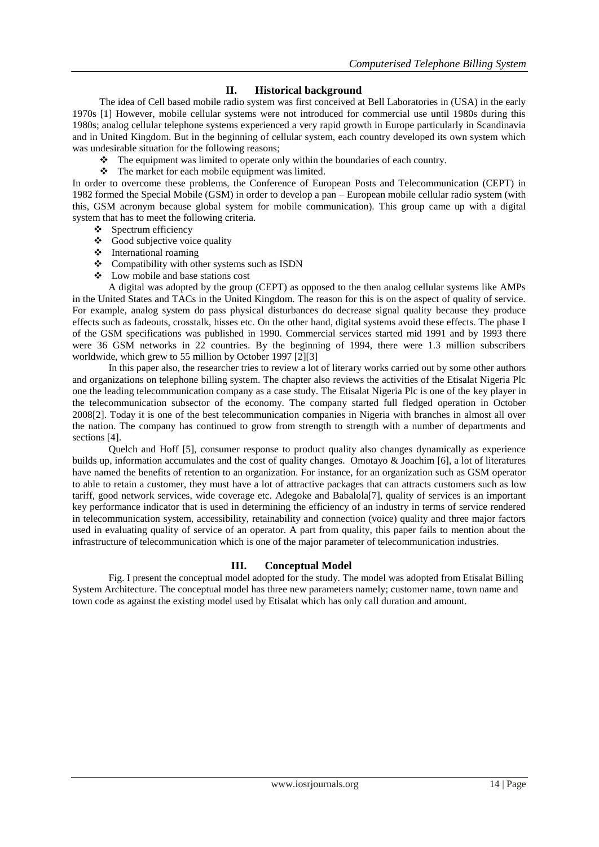# **II. Historical background**

The idea of Cell based mobile radio system was first conceived at Bell Laboratories in (USA) in the early 1970s [1] However, mobile cellular systems were not introduced for commercial use until 1980s during this 1980s; analog cellular telephone systems experienced a very rapid growth in Europe particularly in Scandinavia and in United Kingdom. But in the beginning of cellular system, each country developed its own system which was undesirable situation for the following reasons;

- $\bullet$  The equipment was limited to operate only within the boundaries of each country.
- $\triangle$  The market for each mobile equipment was limited.

In order to overcome these problems, the Conference of European Posts and Telecommunication (CEPT) in 1982 formed the Special Mobile (GSM) in order to develop a pan – European mobile cellular radio system (with this, GSM acronym because global system for mobile communication). This group came up with a digital system that has to meet the following criteria.

- $\bullet$  Spectrum efficiency
- Good subjective voice quality
- International roaming
- Compatibility with other systems such as ISDN
- Low mobile and base stations cost

A digital was adopted by the group (CEPT) as opposed to the then analog cellular systems like AMPs in the United States and TACs in the United Kingdom. The reason for this is on the aspect of quality of service. For example, analog system do pass physical disturbances do decrease signal quality because they produce effects such as fadeouts, crosstalk, hisses etc. On the other hand, digital systems avoid these effects. The phase I of the GSM specifications was published in 1990. Commercial services started mid 1991 and by 1993 there were 36 GSM networks in 22 countries. By the beginning of 1994, there were 1.3 million subscribers worldwide, which grew to 55 million by October 1997 [2][3]

In this paper also, the researcher tries to review a lot of literary works carried out by some other authors and organizations on telephone billing system. The chapter also reviews the activities of the Etisalat Nigeria Plc one the leading telecommunication company as a case study. The Etisalat Nigeria Plc is one of the key player in the telecommunication subsector of the economy. The company started full fledged operation in October 2008[2]. Today it is one of the best telecommunication companies in Nigeria with branches in almost all over the nation. The company has continued to grow from strength to strength with a number of departments and sections [4].

Quelch and Hoff [5], consumer response to product quality also changes dynamically as experience builds up, information accumulates and the cost of quality changes. Omotayo & Joachim [6], a lot of literatures have named the benefits of retention to an organization. For instance, for an organization such as GSM operator to able to retain a customer, they must have a lot of attractive packages that can attracts customers such as low tariff, good network services, wide coverage etc. Adegoke and Babalola[7], quality of services is an important key performance indicator that is used in determining the efficiency of an industry in terms of service rendered in telecommunication system, accessibility, retainability and connection (voice) quality and three major factors used in evaluating quality of service of an operator. A part from quality, this paper fails to mention about the infrastructure of telecommunication which is one of the major parameter of telecommunication industries.

# **III. Conceptual Model**

Fig. I present the conceptual model adopted for the study. The model was adopted from Etisalat Billing System Architecture. The conceptual model has three new parameters namely; customer name, town name and town code as against the existing model used by Etisalat which has only call duration and amount.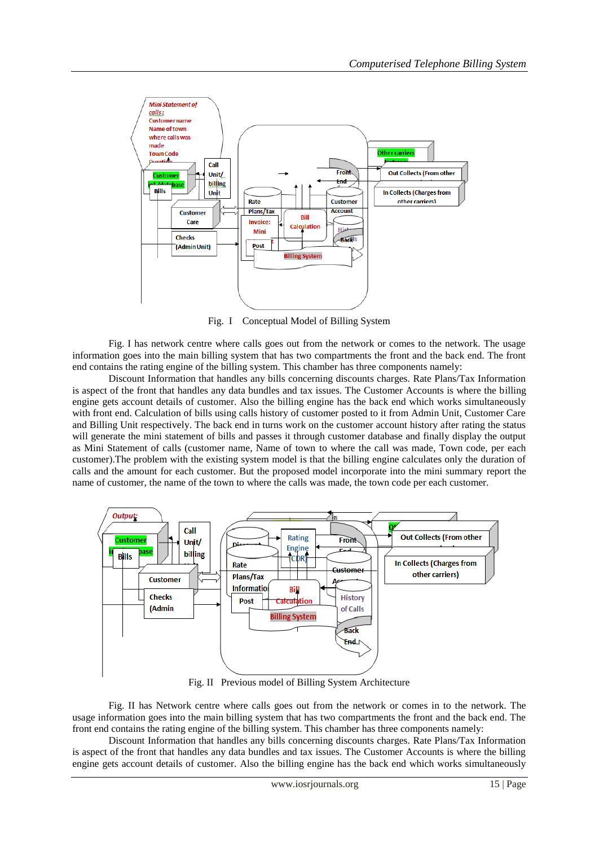

Fig. I Conceptual Model of Billing System

Fig. I has network centre where calls goes out from the network or comes to the network. The usage information goes into the main billing system that has two compartments the front and the back end. The front end contains the rating engine of the billing system. This chamber has three components namely:

Discount Information that handles any bills concerning discounts charges. Rate Plans/Tax Information is aspect of the front that handles any data bundles and tax issues. The Customer Accounts is where the billing engine gets account details of customer. Also the billing engine has the back end which works simultaneously with front end. Calculation of bills using calls history of customer posted to it from Admin Unit, Customer Care and Billing Unit respectively. The back end in turns work on the customer account history after rating the status will generate the mini statement of bills and passes it through customer database and finally display the output as Mini Statement of calls (customer name, Name of town to where the call was made, Town code, per each customer).The problem with the existing system model is that the billing engine calculates only the duration of calls and the amount for each customer. But the proposed model incorporate into the mini summary report the name of customer, the name of the town to where the calls was made, the town code per each customer.



Fig. II Previous model of Billing System Architecture

Fig. II has Network centre where calls goes out from the network or comes in to the network. The usage information goes into the main billing system that has two compartments the front and the back end. The front end contains the rating engine of the billing system. This chamber has three components namely:

Discount Information that handles any bills concerning discounts charges. Rate Plans/Tax Information is aspect of the front that handles any data bundles and tax issues. The Customer Accounts is where the billing engine gets account details of customer. Also the billing engine has the back end which works simultaneously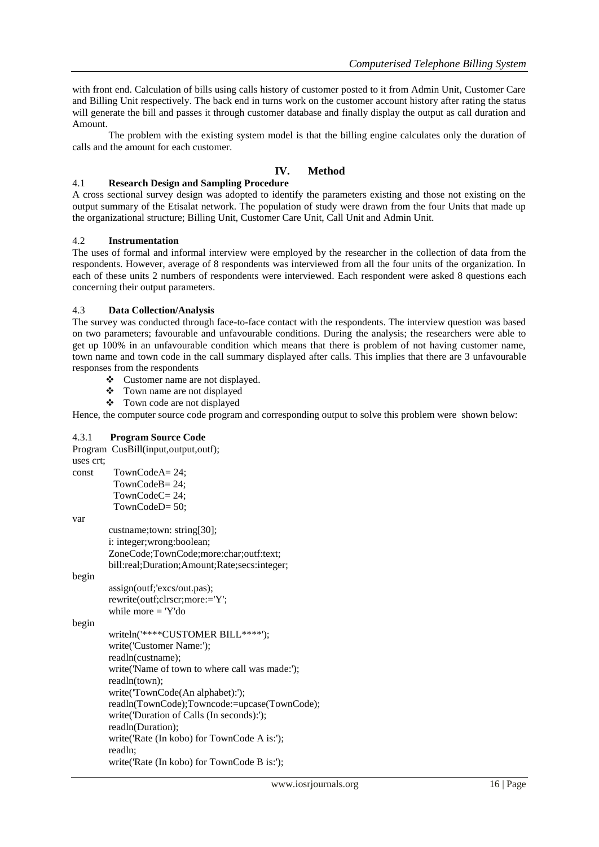with front end. Calculation of bills using calls history of customer posted to it from Admin Unit, Customer Care and Billing Unit respectively. The back end in turns work on the customer account history after rating the status will generate the bill and passes it through customer database and finally display the output as call duration and Amount.

The problem with the existing system model is that the billing engine calculates only the duration of calls and the amount for each customer.

# **IV. Method**

#### 4.1 **Research Design and Sampling Procedure**

A cross sectional survey design was adopted to identify the parameters existing and those not existing on the output summary of the Etisalat network. The population of study were drawn from the four Units that made up the organizational structure; Billing Unit, Customer Care Unit, Call Unit and Admin Unit.

#### 4.2 **Instrumentation**

The uses of formal and informal interview were employed by the researcher in the collection of data from the respondents. However, average of 8 respondents was interviewed from all the four units of the organization. In each of these units 2 numbers of respondents were interviewed. Each respondent were asked 8 questions each concerning their output parameters.

### 4.3 **Data Collection/Analysis**

The survey was conducted through face-to-face contact with the respondents. The interview question was based on two parameters; favourable and unfavourable conditions. During the analysis; the researchers were able to get up 100% in an unfavourable condition which means that there is problem of not having customer name, town name and town code in the call summary displayed after calls. This implies that there are 3 unfavourable responses from the respondents

- Customer name are not displayed.
- $\bullet$  Town name are not displayed
- Town code are not displayed

Hence, the computer source code program and corresponding output to solve this problem were shown below:

#### 4.3.1 **Program Source Code**

| uses crt; | Program CusBill(input,output,outf);             |
|-----------|-------------------------------------------------|
| const     | TownCodeA= $24$ ;                               |
|           | TownCodeB=24;                                   |
|           | TownCodeC=24;                                   |
|           | TownCodeD=50;                                   |
| var       |                                                 |
|           |                                                 |
|           | custname;town: string[30];                      |
|           | i: integer; wrong: boolean;                     |
|           | ZoneCode;TownCode;more:char;outf:text;          |
|           | bill:real;Duration;Amount;Rate;secs:integer;    |
| begin     |                                                 |
|           | assign(outf;'excs/out.pas);                     |
|           | rewrite(outf;clrscr;more:='Y';                  |
|           | while more $=$ 'Y'do                            |
| begin     |                                                 |
|           | writeln('****CUSTOMER BILL****');               |
|           | write('Customer Name:');                        |
|           | readln(custname);                               |
|           | write ('Name of town to where call was made:'); |
|           | readln(town);                                   |
|           | write('TownCode(An alphabet):');                |
|           | readln(TownCode);Towncode:=upcase(TownCode);    |
|           | write ('Duration of Calls (In seconds):');      |
|           | readln(Duration);                               |
|           | write('Rate (In kobo) for TownCode A is:');     |
|           | readln;                                         |
|           | - - - - - -                                     |

write('Rate (In kobo) for TownCode B is:');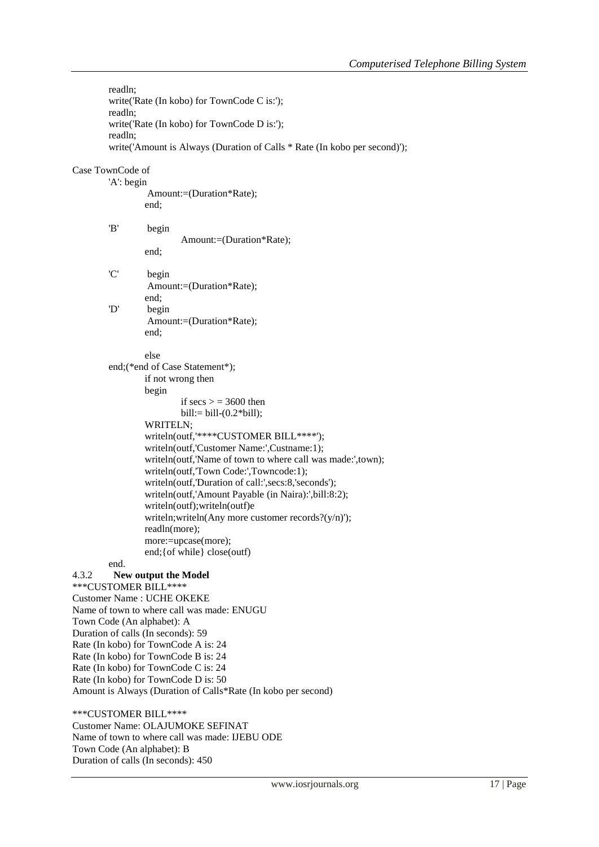readln; write('Rate (In kobo) for TownCode C is:'); readln; write('Rate (In kobo) for TownCode D is:'); readln; write('Amount is Always (Duration of Calls \* Rate (In kobo per second)');

## Case TownCode of

'A': begin Amount:=(Duration\*Rate); end;

'B' begin end;

Amount:=(Duration\*Rate);

'C' begin Amount:=(Duration\*Rate); end; 'D' begin Amount:=(Duration\*Rate);

end;

else

end;(\*end of Case Statement\*); if not wrong then begin

if  $secs = 3600$  then  $bill := bill-(0.2*bill);$ WRITELN; writeln(outf,'\*\*\*\*CUSTOMER BILL\*\*\*\*'); writeln(outf,'Customer Name:',Custname:1); writeln(outf,'Name of town to where call was made:',town); writeln(outf,'Town Code:',Towncode:1); writeln(outf,'Duration of call:',secs:8,'seconds'); writeln(outf,'Amount Payable (in Naira):',bill:8:2); writeln(outf);writeln(outf)e writeln;writeln(Any more customer records?(y/n)'); readln(more); more:=upcase(more); end;{of while} close(outf)

# end.

# 4.3.2 **New output the Model**

\*\*\*CUSTOMER BILL\*\*\*\* Customer Name : UCHE OKEKE Name of town to where call was made: ENUGU Town Code (An alphabet): A Duration of calls (In seconds): 59 Rate (In kobo) for TownCode A is: 24 Rate (In kobo) for TownCode B is: 24 Rate (In kobo) for TownCode C is: 24 Rate (In kobo) for TownCode D is: 50 Amount is Always (Duration of Calls\*Rate (In kobo per second)

# \*\*\*CUSTOMER BILL\*\*\*\*

Customer Name: OLAJUMOKE SEFINAT Name of town to where call was made: IJEBU ODE Town Code (An alphabet): B Duration of calls (In seconds): 450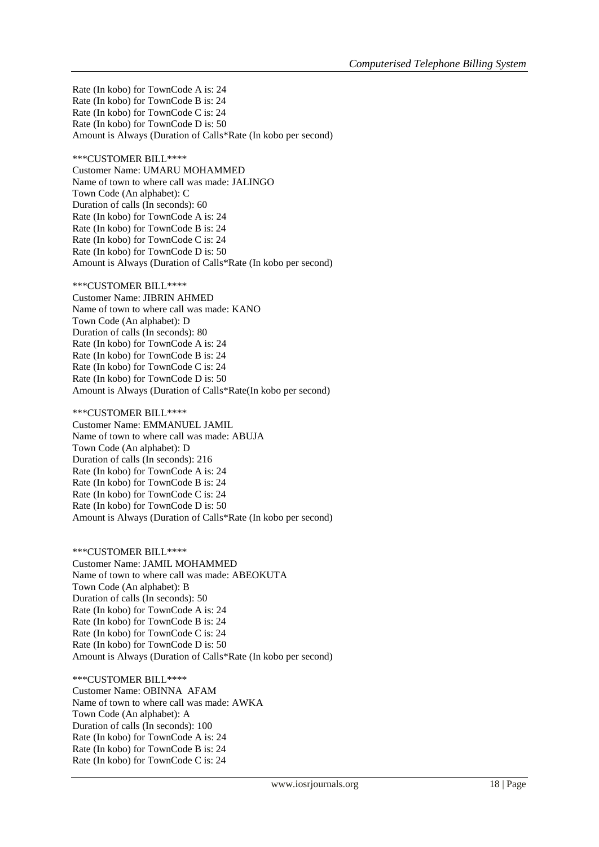Rate (In kobo) for TownCode A is: 24 Rate (In kobo) for TownCode B is: 24 Rate (In kobo) for TownCode C is: 24 Rate (In kobo) for TownCode D is: 50 Amount is Always (Duration of Calls\*Rate (In kobo per second)

\*\*\*CUSTOMER BILL\*\*\*\* Customer Name: UMARU MOHAMMED Name of town to where call was made: JALINGO Town Code (An alphabet): C Duration of calls (In seconds): 60 Rate (In kobo) for TownCode A is: 24 Rate (In kobo) for TownCode B is: 24 Rate (In kobo) for TownCode C is: 24 Rate (In kobo) for TownCode D is: 50 Amount is Always (Duration of Calls\*Rate (In kobo per second)

\*\*\*CUSTOMER BILL\*\*\*\* Customer Name: JIBRIN AHMED Name of town to where call was made: KANO Town Code (An alphabet): D Duration of calls (In seconds): 80 Rate (In kobo) for TownCode A is: 24 Rate (In kobo) for TownCode B is: 24 Rate (In kobo) for TownCode C is: 24 Rate (In kobo) for TownCode D is: 50 Amount is Always (Duration of Calls\*Rate(In kobo per second)

\*\*\*CUSTOMER BILL\*\*\*\* Customer Name: EMMANUEL JAMIL Name of town to where call was made: ABUJA Town Code (An alphabet): D Duration of calls (In seconds): 216 Rate (In kobo) for TownCode A is: 24 Rate (In kobo) for TownCode B is: 24 Rate (In kobo) for TownCode C is: 24 Rate (In kobo) for TownCode D is: 50 Amount is Always (Duration of Calls\*Rate (In kobo per second)

\*\*\*CUSTOMER BILL\*\*\*\* Customer Name: JAMIL MOHAMMED Name of town to where call was made: ABEOKUTA Town Code (An alphabet): B Duration of calls (In seconds): 50 Rate (In kobo) for TownCode A is: 24 Rate (In kobo) for TownCode B is: 24 Rate (In kobo) for TownCode C is: 24 Rate (In kobo) for TownCode D is: 50 Amount is Always (Duration of Calls\*Rate (In kobo per second)

\*\*\*CUSTOMER BILL\*\*\*\* Customer Name: OBINNA AFAM Name of town to where call was made: AWKA Town Code (An alphabet): A Duration of calls (In seconds): 100 Rate (In kobo) for TownCode A is: 24 Rate (In kobo) for TownCode B is: 24 Rate (In kobo) for TownCode C is: 24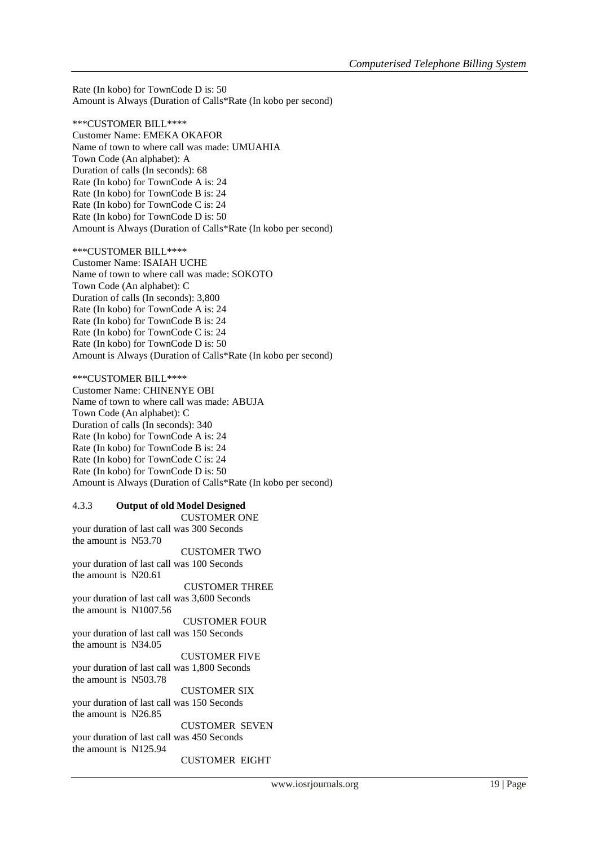Rate (In kobo) for TownCode D is: 50 Amount is Always (Duration of Calls\*Rate (In kobo per second)

\*\*\*CUSTOMER BILL\*\*\*\* Customer Name: EMEKA OKAFOR Name of town to where call was made: UMUAHIA Town Code (An alphabet): A Duration of calls (In seconds): 68 Rate (In kobo) for TownCode A is: 24 Rate (In kobo) for TownCode B is: 24 Rate (In kobo) for TownCode C is: 24 Rate (In kobo) for TownCode D is: 50 Amount is Always (Duration of Calls\*Rate (In kobo per second)

\*\*\*CUSTOMER BILL\*\*\*\* Customer Name: ISAIAH UCHE Name of town to where call was made: SOKOTO Town Code (An alphabet): C Duration of calls (In seconds): 3,800 Rate (In kobo) for TownCode A is: 24 Rate (In kobo) for TownCode B is: 24 Rate (In kobo) for TownCode C is: 24 Rate (In kobo) for TownCode D is: 50 Amount is Always (Duration of Calls\*Rate (In kobo per second)

\*\*\*CUSTOMER BILL\*\*\*\* Customer Name: CHINENYE OBI Name of town to where call was made: ABUJA Town Code (An alphabet): C Duration of calls (In seconds): 340 Rate (In kobo) for TownCode A is: 24 Rate (In kobo) for TownCode B is: 24 Rate (In kobo) for TownCode C is: 24 Rate (In kobo) for TownCode D is: 50 Amount is Always (Duration of Calls\*Rate (In kobo per second)

#### 4.3.3 **Output of old Model Designed**

CUSTOMER ONE your duration of last call was 300 Seconds the amount is N53.70 CUSTOMER TWO your duration of last call was 100 Seconds the amount is N20.61 CUSTOMER THREE your duration of last call was 3,600 Seconds the amount is N1007.56 CUSTOMER FOUR your duration of last call was 150 Seconds the amount is N34.05 CUSTOMER FIVE your duration of last call was 1,800 Seconds the amount is N503.78 CUSTOMER SIX your duration of last call was 150 Seconds the amount is N26.85 CUSTOMER SEVEN your duration of last call was 450 Seconds the amount is N125.94 CUSTOMER EIGHT